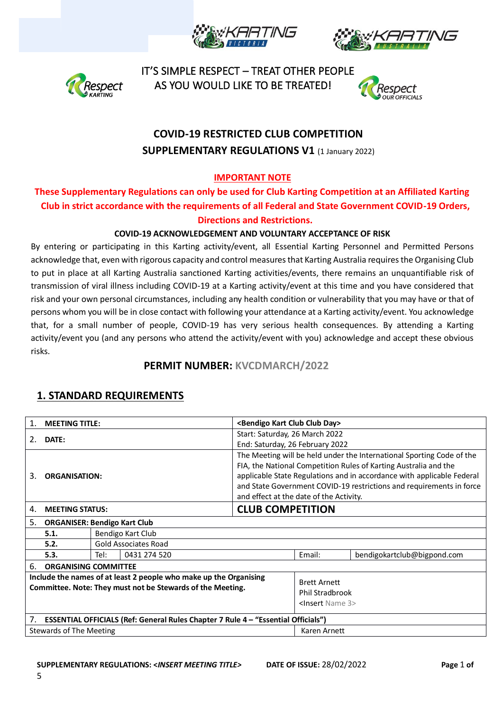





 IT'S SIMPLE RESPECT – TREAT OTHER PEOPLE espect AS YOU WOULD LIKE TO BE TREATED!



# **COVID-19 RESTRICTED CLUB COMPETITION SUPPLEMENTARY REGULATIONS V1 (1 January 2022)**

## **IMPORTANT NOTE**

## **These Supplementary Regulations can only be used for Club Karting Competition at an Affiliated Karting Club in strict accordance with the requirements of all Federal and State Government COVID-19 Orders, Directions and Restrictions.**

#### **COVID-19 ACKNOWLEDGEMENT AND VOLUNTARY ACCEPTANCE OF RISK**

By entering or participating in this Karting activity/event, all Essential Karting Personnel and Permitted Persons acknowledge that, even with rigorous capacity and control measures that Karting Australia requires the Organising Club to put in place at all Karting Australia sanctioned Karting activities/events, there remains an unquantifiable risk of transmission of viral illness including COVID-19 at a Karting activity/event at this time and you have considered that risk and your own personal circumstances, including any health condition or vulnerability that you may have or that of persons whom you will be in close contact with following your attendance at a Karting activity/event. You acknowledge that, for a small number of people, COVID-19 has very serious health consequences. By attending a Karting activity/event you (and any persons who attend the activity/event with you) acknowledge and accept these obvious risks.

#### **PERMIT NUMBER: KVCDMARCH/2022**

#### **1. STANDARD REQUIREMENTS**

5

|                                                                   | <b>MEETING TITLE:</b>                                      |  |                                                                                          | <bendigo club="" day="" kart=""></bendigo>                             |                             |  |
|-------------------------------------------------------------------|------------------------------------------------------------|--|------------------------------------------------------------------------------------------|------------------------------------------------------------------------|-----------------------------|--|
|                                                                   | DATE:<br>2.                                                |  |                                                                                          | Start: Saturday, 26 March 2022                                         |                             |  |
|                                                                   |                                                            |  |                                                                                          | End: Saturday, 26 February 2022                                        |                             |  |
|                                                                   |                                                            |  |                                                                                          | The Meeting will be held under the International Sporting Code of the  |                             |  |
|                                                                   |                                                            |  |                                                                                          | FIA, the National Competition Rules of Karting Australia and the       |                             |  |
| 3.                                                                | <b>ORGANISATION:</b>                                       |  |                                                                                          | applicable State Regulations and in accordance with applicable Federal |                             |  |
|                                                                   |                                                            |  |                                                                                          | and State Government COVID-19 restrictions and requirements in force   |                             |  |
|                                                                   |                                                            |  |                                                                                          | and effect at the date of the Activity.                                |                             |  |
| 4.                                                                | <b>MEETING STATUS:</b>                                     |  |                                                                                          | <b>CLUB COMPETITION</b>                                                |                             |  |
| 5.<br><b>ORGANISER: Bendigo Kart Club</b>                         |                                                            |  |                                                                                          |                                                                        |                             |  |
| Bendigo Kart Club<br>5.1.                                         |                                                            |  |                                                                                          |                                                                        |                             |  |
| <b>Gold Associates Road</b><br>5.2.                               |                                                            |  |                                                                                          |                                                                        |                             |  |
|                                                                   | 0431 274 520<br>5.3.<br>Tel:                               |  |                                                                                          | Email:                                                                 | bendigokartclub@bigpond.com |  |
| 6.<br><b>ORGANISING COMMITTEE</b>                                 |                                                            |  |                                                                                          |                                                                        |                             |  |
| Include the names of at least 2 people who make up the Organising |                                                            |  |                                                                                          |                                                                        |                             |  |
|                                                                   | Committee. Note: They must not be Stewards of the Meeting. |  |                                                                                          |                                                                        | <b>Brett Arnett</b>         |  |
|                                                                   |                                                            |  |                                                                                          | <b>Phil Stradbrook</b>                                                 |                             |  |
|                                                                   |                                                            |  |                                                                                          | <insert 3="" name=""></insert>                                         |                             |  |
| 7.                                                                |                                                            |  | <b>ESSENTIAL OFFICIALS (Ref: General Rules Chapter 7 Rule 4 – "Essential Officials")</b> |                                                                        |                             |  |
|                                                                   | <b>Stewards of The Meeting</b>                             |  |                                                                                          |                                                                        | Karen Arnett                |  |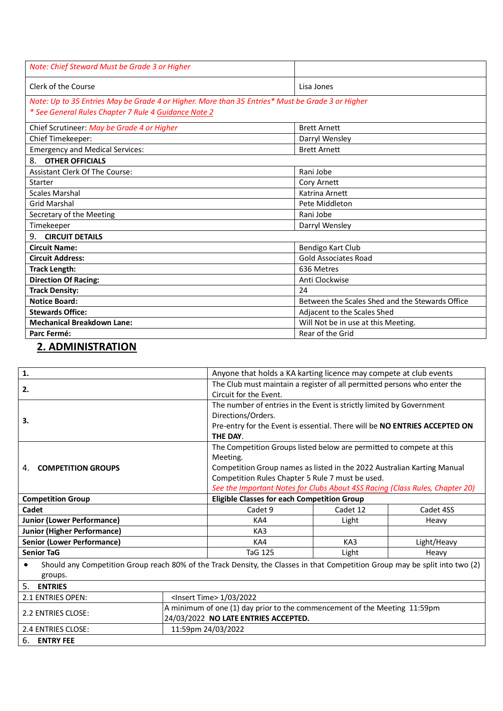| Note: Chief Steward Must be Grade 3 or Higher                                                    |                                     |  |  |  |
|--------------------------------------------------------------------------------------------------|-------------------------------------|--|--|--|
| Clerk of the Course                                                                              | Lisa Jones                          |  |  |  |
| Note: Up to 35 Entries May be Grade 4 or Higher. More than 35 Entries* Must be Grade 3 or Higher |                                     |  |  |  |
| * See General Rules Chapter 7 Rule 4 Guidance Note 2                                             |                                     |  |  |  |
| Chief Scrutineer: May be Grade 4 or Higher                                                       | <b>Brett Arnett</b>                 |  |  |  |
| Chief Timekeeper:                                                                                | Darryl Wensley                      |  |  |  |
| <b>Emergency and Medical Services:</b>                                                           | <b>Brett Arnett</b>                 |  |  |  |
| 8.<br><b>OTHER OFFICIALS</b>                                                                     |                                     |  |  |  |
| Assistant Clerk Of The Course:                                                                   | Rani Jobe                           |  |  |  |
| Starter                                                                                          | Cory Arnett                         |  |  |  |
| <b>Scales Marshal</b>                                                                            | Katrina Arnett                      |  |  |  |
| <b>Grid Marshal</b>                                                                              | Pete Middleton                      |  |  |  |
| Secretary of the Meeting                                                                         | Rani Jobe                           |  |  |  |
| Timekeeper                                                                                       | Darryl Wensley                      |  |  |  |
| <b>CIRCUIT DETAILS</b><br>9.                                                                     |                                     |  |  |  |
| <b>Circuit Name:</b>                                                                             | Bendigo Kart Club                   |  |  |  |
| <b>Circuit Address:</b>                                                                          | Gold Associates Road                |  |  |  |
| <b>Track Length:</b>                                                                             | 636 Metres                          |  |  |  |
| <b>Direction Of Racing:</b>                                                                      | Anti Clockwise                      |  |  |  |
| <b>Track Density:</b>                                                                            | 24                                  |  |  |  |
| Between the Scales Shed and the Stewards Office<br><b>Notice Board:</b>                          |                                     |  |  |  |
| <b>Stewards Office:</b><br>Adjacent to the Scales Shed                                           |                                     |  |  |  |
| <b>Mechanical Breakdown Lane:</b>                                                                | Will Not be in use at this Meeting. |  |  |  |
| Parc Fermé:                                                                                      | Rear of the Grid                    |  |  |  |

## **2. ADMINISTRATION**

| 1.                                                                                                                                                              | Anyone that holds a KA karting licence may compete at club events |                                                                                                                                                                                                                                                                                                 |                                                                                                                   |             |  |
|-----------------------------------------------------------------------------------------------------------------------------------------------------------------|-------------------------------------------------------------------|-------------------------------------------------------------------------------------------------------------------------------------------------------------------------------------------------------------------------------------------------------------------------------------------------|-------------------------------------------------------------------------------------------------------------------|-------------|--|
| 2.                                                                                                                                                              |                                                                   | The Club must maintain a register of all permitted persons who enter the<br>Circuit for the Event.                                                                                                                                                                                              |                                                                                                                   |             |  |
| 3.                                                                                                                                                              |                                                                   | The number of entries in the Event is strictly limited by Government<br>Directions/Orders.<br>Pre-entry for the Event is essential. There will be NO ENTRIES ACCEPTED ON<br>THE DAY.                                                                                                            |                                                                                                                   |             |  |
| <b>COMPETITION GROUPS</b><br>4.                                                                                                                                 |                                                                   | The Competition Groups listed below are permitted to compete at this<br>Meeting.<br>Competition Group names as listed in the 2022 Australian Karting Manual<br>Competition Rules Chapter 5 Rule 7 must be used.<br>See the Important Notes for Clubs About 4SS Racing (Class Rules, Chapter 20) |                                                                                                                   |             |  |
| <b>Competition Group</b>                                                                                                                                        |                                                                   | <b>Eligible Classes for each Competition Group</b>                                                                                                                                                                                                                                              |                                                                                                                   |             |  |
| Cadet                                                                                                                                                           |                                                                   | Cadet 9                                                                                                                                                                                                                                                                                         | Cadet 12                                                                                                          | Cadet 4SS   |  |
| <b>Junior (Lower Performance)</b>                                                                                                                               |                                                                   | KA4                                                                                                                                                                                                                                                                                             | Light                                                                                                             | Heavy       |  |
| <b>Junior (Higher Performance)</b>                                                                                                                              |                                                                   | KA3                                                                                                                                                                                                                                                                                             |                                                                                                                   |             |  |
| <b>Senior (Lower Performance)</b>                                                                                                                               |                                                                   | KA4                                                                                                                                                                                                                                                                                             | KA3                                                                                                               | Light/Heavy |  |
| <b>Senior TaG</b>                                                                                                                                               |                                                                   |                                                                                                                                                                                                                                                                                                 | Light                                                                                                             | Heavy       |  |
| Should any Competition Group reach 80% of the Track Density, the Classes in that Competition Group may be split into two (2)<br>groups.<br>5.<br><b>ENTRIES</b> |                                                                   |                                                                                                                                                                                                                                                                                                 |                                                                                                                   |             |  |
| 2.1 ENTRIES OPEN:                                                                                                                                               |                                                                   | <lnsert time=""> 1/03/2022</lnsert>                                                                                                                                                                                                                                                             |                                                                                                                   |             |  |
| 2.2 ENTRIES CLOSE:                                                                                                                                              |                                                                   |                                                                                                                                                                                                                                                                                                 | A minimum of one (1) day prior to the commencement of the Meeting 11:59pm<br>24/03/2022 NO LATE ENTRIES ACCEPTED. |             |  |
| 2.4 ENTRIES CLOSE:                                                                                                                                              |                                                                   | 11:59pm 24/03/2022                                                                                                                                                                                                                                                                              |                                                                                                                   |             |  |
| 6.<br><b>ENTRY FEE</b>                                                                                                                                          |                                                                   |                                                                                                                                                                                                                                                                                                 |                                                                                                                   |             |  |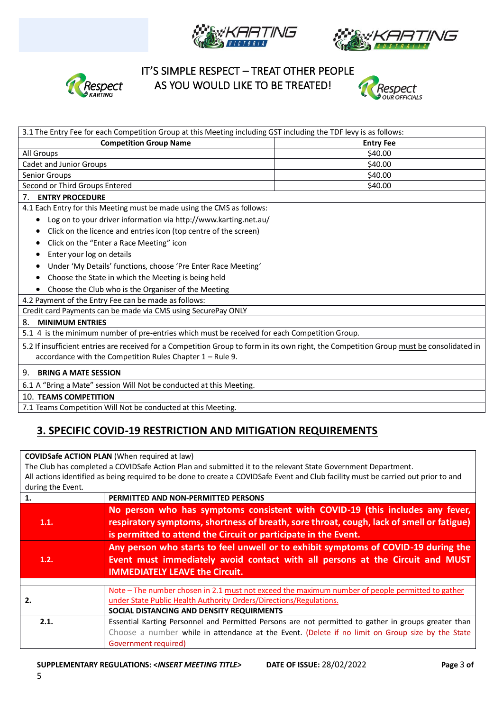





# IT'S SIMPLE RESPECT – TREAT OTHER PEOPLE espect AS YOU WOULD LIKE TO BE TREATED!



| 3.1 The Entry Fee for each Competition Group at this Meeting including GST including the TDF levy is as follows:                                                                                      |                  |  |
|-------------------------------------------------------------------------------------------------------------------------------------------------------------------------------------------------------|------------------|--|
| <b>Competition Group Name</b>                                                                                                                                                                         | <b>Entry Fee</b> |  |
| All Groups                                                                                                                                                                                            | \$40.00          |  |
| Cadet and Junior Groups                                                                                                                                                                               | \$40.00          |  |
| Senior Groups                                                                                                                                                                                         | \$40.00          |  |
| Second or Third Groups Entered                                                                                                                                                                        | \$40.00          |  |
| <b>ENTRY PROCEDURE</b><br>7 <sub>1</sub>                                                                                                                                                              |                  |  |
| 4.1 Each Entry for this Meeting must be made using the CMS as follows:                                                                                                                                |                  |  |
| Log on to your driver information via http://www.karting.net.au/<br>$\bullet$                                                                                                                         |                  |  |
| Click on the licence and entries icon (top centre of the screen)<br>٠                                                                                                                                 |                  |  |
| Click on the "Enter a Race Meeting" icon<br>٠                                                                                                                                                         |                  |  |
| Enter your log on details<br>٠                                                                                                                                                                        |                  |  |
| Under 'My Details' functions, choose 'Pre Enter Race Meeting'<br>٠                                                                                                                                    |                  |  |
| Choose the State in which the Meeting is being held<br>٠                                                                                                                                              |                  |  |
| Choose the Club who is the Organiser of the Meeting<br>$\bullet$                                                                                                                                      |                  |  |
| 4.2 Payment of the Entry Fee can be made as follows:                                                                                                                                                  |                  |  |
| Credit card Payments can be made via CMS using SecurePay ONLY                                                                                                                                         |                  |  |
| <b>MINIMUM ENTRIES</b><br>8.                                                                                                                                                                          |                  |  |
| 5.1 4 is the minimum number of pre-entries which must be received for each Competition Group.                                                                                                         |                  |  |
| 5.2 If insufficient entries are received for a Competition Group to form in its own right, the Competition Group must be consolidated in<br>accordance with the Competition Rules Chapter 1 - Rule 9. |                  |  |
| 9.<br><b>BRING A MATE SESSION</b>                                                                                                                                                                     |                  |  |
| 6.1 A "Bring a Mate" session Will Not be conducted at this Meeting.                                                                                                                                   |                  |  |

10. **TEAMS COMPETITION**

7.1 Teams Competition Will Not be conducted at this Meeting.

#### **3. SPECIFIC COVID-19 RESTRICTION AND MITIGATION REQUIREMENTS**

**COVIDSafe ACTION PLAN** (When required at law)

The Club has completed a COVIDSafe Action Plan and submitted it to the relevant State Government Department.

All actions identified as being required to be done to create a COVIDSafe Event and Club facility must be carried out prior to and during the Event.

| 1.   | PERMITTED AND NON-PERMITTED PERSONS                                                                                                                                                                                                          |
|------|----------------------------------------------------------------------------------------------------------------------------------------------------------------------------------------------------------------------------------------------|
| 1.1. | No person who has symptoms consistent with COVID-19 (this includes any fever,<br>respiratory symptoms, shortness of breath, sore throat, cough, lack of smell or fatigue)<br>is permitted to attend the Circuit or participate in the Event. |
| 1.2. | Any person who starts to feel unwell or to exhibit symptoms of COVID-19 during the<br>Event must immediately avoid contact with all persons at the Circuit and MUST<br><b>IMMEDIATELY LEAVE the Circuit.</b>                                 |
| 2.   | Note – The number chosen in 2.1 must not exceed the maximum number of people permitted to gather<br>under State Public Health Authority Orders/Directions/Regulations.<br>SOCIAL DISTANCING AND DENSITY REQUIRMENTS                          |
| 2.1. | Essential Karting Personnel and Permitted Persons are not permitted to gather in groups greater than<br>Choose a number while in attendance at the Event. (Delete if no limit on Group size by the State<br>Government required)             |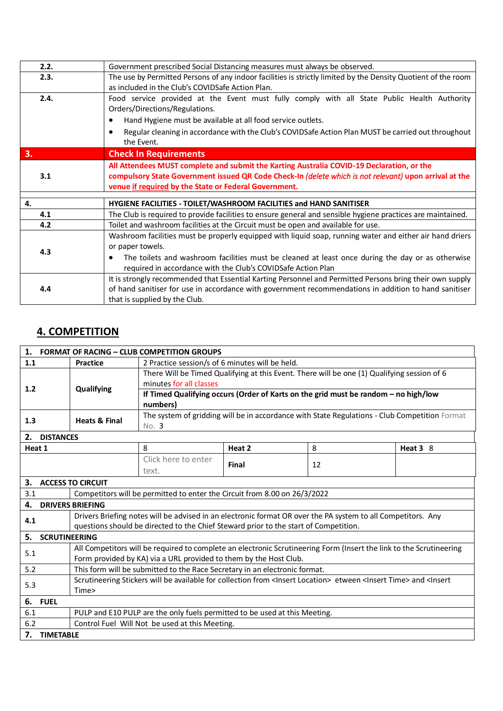| 2.2. | Government prescribed Social Distancing measures must always be observed.                                                                                                                                                                                                                                         |
|------|-------------------------------------------------------------------------------------------------------------------------------------------------------------------------------------------------------------------------------------------------------------------------------------------------------------------|
| 2.3. | The use by Permitted Persons of any indoor facilities is strictly limited by the Density Quotient of the room<br>as included in the Club's COVIDSafe Action Plan.                                                                                                                                                 |
| 2.4. | Food service provided at the Event must fully comply with all State Public Health Authority<br>Orders/Directions/Regulations.<br>Hand Hygiene must be available at all food service outlets.<br>Regular cleaning in accordance with the Club's COVIDSafe Action Plan MUST be carried out throughout<br>the Event. |
| 3.   | <b>Check In Requirements</b>                                                                                                                                                                                                                                                                                      |
| 3.1  | All Attendees MUST complete and submit the Karting Australia COVID-19 Declaration, or the<br>compulsory State Government issued QR Code Check-In (delete which is not relevant) upon arrival at the<br>venue if required by the State or Federal Government.                                                      |
| 4.   | HYGIENE FACILITIES - TOILET/WASHROOM FACILITIES and HAND SANITISER                                                                                                                                                                                                                                                |
| 4.1  | The Club is required to provide facilities to ensure general and sensible hygiene practices are maintained.                                                                                                                                                                                                       |
| 4.2  | Toilet and washroom facilities at the Circuit must be open and available for use.                                                                                                                                                                                                                                 |
| 4.3  | Washroom facilities must be properly equipped with liquid soap, running water and either air hand driers<br>or paper towels.<br>The toilets and washroom facilities must be cleaned at least once during the day or as otherwise<br>$\bullet$<br>required in accordance with the Club's COVIDSafe Action Plan     |
| 4.4  | It is strongly recommended that Essential Karting Personnel and Permitted Persons bring their own supply<br>of hand sanitiser for use in accordance with government recommendations in addition to hand sanitiser<br>that is supplied by the Club.                                                                |

# **4. COMPETITION**

| 1.  | <b>FORMAT OF RACING - CLUB COMPETITION GROUPS</b>                                                            |                                                                                                                     |                                                                                                                                                           |        |  |                                                                                     |                  |  |
|-----|--------------------------------------------------------------------------------------------------------------|---------------------------------------------------------------------------------------------------------------------|-----------------------------------------------------------------------------------------------------------------------------------------------------------|--------|--|-------------------------------------------------------------------------------------|------------------|--|
| 1.1 | <b>Practice</b>                                                                                              |                                                                                                                     | 2 Practice session/s of 6 minutes will be held.                                                                                                           |        |  |                                                                                     |                  |  |
|     |                                                                                                              |                                                                                                                     | There Will be Timed Qualifying at this Event. There will be one (1) Qualifying session of 6                                                               |        |  |                                                                                     |                  |  |
| 1.2 |                                                                                                              | Qualifying                                                                                                          | minutes for all classes                                                                                                                                   |        |  |                                                                                     |                  |  |
|     |                                                                                                              |                                                                                                                     |                                                                                                                                                           |        |  | If Timed Qualifying occurs (Order of Karts on the grid must be random - no high/low |                  |  |
|     |                                                                                                              |                                                                                                                     | numbers)                                                                                                                                                  |        |  |                                                                                     |                  |  |
| 1.3 |                                                                                                              | <b>Heats &amp; Final</b>                                                                                            | The system of gridding will be in accordance with State Regulations - Club Competition Format                                                             |        |  |                                                                                     |                  |  |
|     |                                                                                                              |                                                                                                                     | No. 3                                                                                                                                                     |        |  |                                                                                     |                  |  |
| 2.  | <b>DISTANCES</b>                                                                                             |                                                                                                                     |                                                                                                                                                           |        |  |                                                                                     |                  |  |
|     | Heat 1                                                                                                       |                                                                                                                     | 8                                                                                                                                                         | Heat 2 |  | 8                                                                                   | Heat $3 \quad 8$ |  |
|     |                                                                                                              |                                                                                                                     | Click here to enter                                                                                                                                       | Final  |  | 12                                                                                  |                  |  |
|     |                                                                                                              |                                                                                                                     | text.                                                                                                                                                     |        |  |                                                                                     |                  |  |
| 3.  |                                                                                                              | <b>ACCESS TO CIRCUIT</b>                                                                                            |                                                                                                                                                           |        |  |                                                                                     |                  |  |
| 3.1 |                                                                                                              | Competitors will be permitted to enter the Circuit from 8.00 on 26/3/2022                                           |                                                                                                                                                           |        |  |                                                                                     |                  |  |
| 4.  |                                                                                                              | <b>DRIVERS BRIEFING</b>                                                                                             |                                                                                                                                                           |        |  |                                                                                     |                  |  |
| 4.1 | Drivers Briefing notes will be advised in an electronic format OR over the PA system to all Competitors. Any |                                                                                                                     |                                                                                                                                                           |        |  |                                                                                     |                  |  |
|     | questions should be directed to the Chief Steward prior to the start of Competition.                         |                                                                                                                     |                                                                                                                                                           |        |  |                                                                                     |                  |  |
| 5.  | <b>SCRUTINEERING</b>                                                                                         |                                                                                                                     |                                                                                                                                                           |        |  |                                                                                     |                  |  |
| 5.1 |                                                                                                              | All Competitors will be required to complete an electronic Scrutineering Form (Insert the link to the Scrutineering |                                                                                                                                                           |        |  |                                                                                     |                  |  |
|     |                                                                                                              | Form provided by KA) via a URL provided to them by the Host Club.                                                   |                                                                                                                                                           |        |  |                                                                                     |                  |  |
| 5.2 |                                                                                                              | This form will be submitted to the Race Secretary in an electronic format.                                          |                                                                                                                                                           |        |  |                                                                                     |                  |  |
|     | 5.3                                                                                                          |                                                                                                                     | Scrutineering Stickers will be available for collection from <lnsert location=""> etween <lnsert time=""> and <lnsert< th=""></lnsert<></lnsert></lnsert> |        |  |                                                                                     |                  |  |
|     |                                                                                                              | Time>                                                                                                               |                                                                                                                                                           |        |  |                                                                                     |                  |  |
| 6.  | <b>FUEL</b>                                                                                                  |                                                                                                                     |                                                                                                                                                           |        |  |                                                                                     |                  |  |
| 6.1 |                                                                                                              |                                                                                                                     | PULP and E10 PULP are the only fuels permitted to be used at this Meeting.                                                                                |        |  |                                                                                     |                  |  |
| 6.2 |                                                                                                              |                                                                                                                     | Control Fuel Will Not be used at this Meeting.                                                                                                            |        |  |                                                                                     |                  |  |
| 7.  | <b>TIMETABLE</b>                                                                                             |                                                                                                                     |                                                                                                                                                           |        |  |                                                                                     |                  |  |